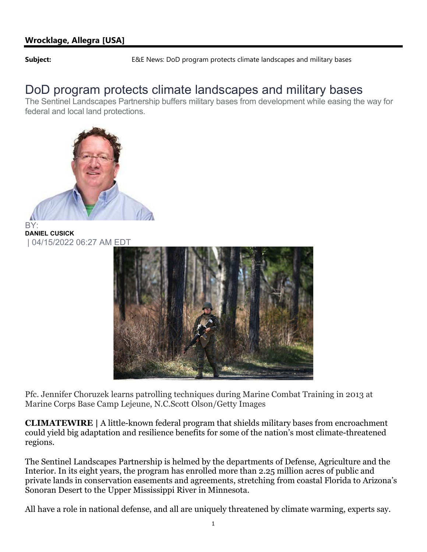**Subject:** E&E News: DoD program protects climate landscapes and military bases

## DoD program protects climate landscapes and military bases

The Sentinel Landscapes Partnership buffers military bases from development while easing the way for federal and local land protections.



DANIEL CUSICK | 04/15/2022 06:27 AM EDT



Pfc. Jennifer Choruzek learns patrolling techniques during Marine Combat Training in 2013 at Marine Corps Base Camp Lejeune, N.C.Scott Olson/Getty Images

CLIMATEWIRE | A little-known federal program that shields military bases from encroachment could yield big adaptation and resilience benefits for some of the nation's most climate-threatened regions.

The Sentinel Landscapes Partnership is helmed by the departments of Defense, Agriculture and the Interior. In its eight years, the program has enrolled more than 2.25 million acres of public and private lands in conservation easements and agreements, stretching from coastal Florida to Arizona's Sonoran Desert to the Upper Mississippi River in Minnesota.

All have a role in national defense, and all are uniquely threatened by climate warming, experts say.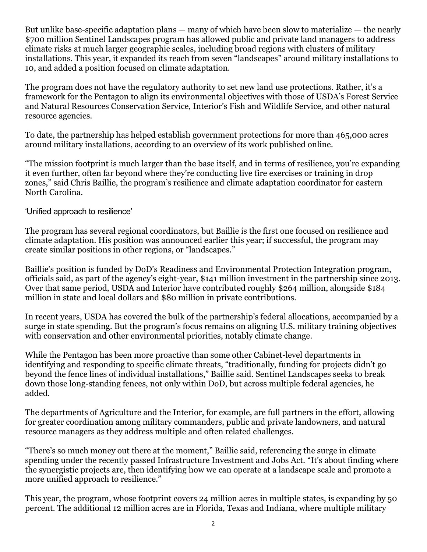But unlike base-specific adaptation plans — many of which have been slow to materialize — the nearly \$700 million Sentinel Landscapes program has allowed public and private land managers to address climate risks at much larger geographic scales, including broad regions with clusters of military installations. This year, it expanded its reach from seven "landscapes" around military installations to 10, and added a position focused on climate adaptation.

The program does not have the regulatory authority to set new land use protections. Rather, it's a framework for the Pentagon to align its environmental objectives with those of USDA's Forest Service and Natural Resources Conservation Service, Interior's Fish and Wildlife Service, and other natural resource agencies.

To date, the partnership has helped establish government protections for more than 465,000 acres around military installations, according to an overview of its work published online.

"The mission footprint is much larger than the base itself, and in terms of resilience, you're expanding it even further, often far beyond where they're conducting live fire exercises or training in drop zones," said Chris Baillie, the program's resilience and climate adaptation coordinator for eastern North Carolina.

'Unified approach to resilience'

The program has several regional coordinators, but Baillie is the first one focused on resilience and climate adaptation. His position was announced earlier this year; if successful, the program may create similar positions in other regions, or "landscapes."

Baillie's position is funded by DoD's Readiness and Environmental Protection Integration program, officials said, as part of the agency's eight-year, \$141 million investment in the partnership since 2013. Over that same period, USDA and Interior have contributed roughly \$264 million, alongside \$184 million in state and local dollars and \$80 million in private contributions.

In recent years, USDA has covered the bulk of the partnership's federal allocations, accompanied by a surge in state spending. But the program's focus remains on aligning U.S. military training objectives with conservation and other environmental priorities, notably climate change.

While the Pentagon has been more proactive than some other Cabinet-level departments in identifying and responding to specific climate threats, "traditionally, funding for projects didn't go beyond the fence lines of individual installations," Baillie said. Sentinel Landscapes seeks to break down those long-standing fences, not only within DoD, but across multiple federal agencies, he added.

The departments of Agriculture and the Interior, for example, are full partners in the effort, allowing for greater coordination among military commanders, public and private landowners, and natural resource managers as they address multiple and often related challenges.

"There's so much money out there at the moment," Baillie said, referencing the surge in climate spending under the recently passed Infrastructure Investment and Jobs Act. "It's about finding where the synergistic projects are, then identifying how we can operate at a landscape scale and promote a more unified approach to resilience."

This year, the program, whose footprint covers 24 million acres in multiple states, is expanding by 50 percent. The additional 12 million acres are in Florida, Texas and Indiana, where multiple military